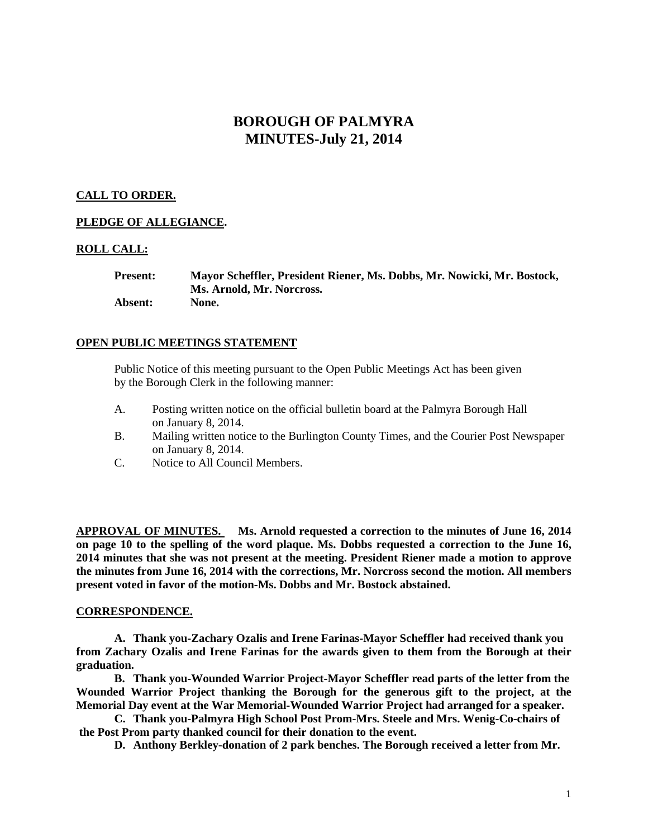# **BOROUGH OF PALMYRA MINUTES-July 21, 2014**

## **CALL TO ORDER.**

## **PLEDGE OF ALLEGIANCE.**

## **ROLL CALL:**

**Present: Mayor Scheffler, President Riener, Ms. Dobbs, Mr. Nowicki, Mr. Bostock, Ms. Arnold, Mr. Norcross. Absent: None.**

## **OPEN PUBLIC MEETINGS STATEMENT**

Public Notice of this meeting pursuant to the Open Public Meetings Act has been given by the Borough Clerk in the following manner:

- A. Posting written notice on the official bulletin board at the Palmyra Borough Hall on January 8, 2014.
- B. Mailing written notice to the Burlington County Times, and the Courier Post Newspaper on January 8, 2014.
- C. Notice to All Council Members.

**APPROVAL OF MINUTES. Ms. Arnold requested a correction to the minutes of June 16, 2014 on page 10 to the spelling of the word plaque. Ms. Dobbs requested a correction to the June 16, 2014 minutes that she was not present at the meeting. President Riener made a motion to approve the minutes from June 16, 2014 with the corrections, Mr. Norcross second the motion. All members present voted in favor of the motion-Ms. Dobbs and Mr. Bostock abstained.** 

## **CORRESPONDENCE.**

**A. Thank you-Zachary Ozalis and Irene Farinas-Mayor Scheffler had received thank you from Zachary Ozalis and Irene Farinas for the awards given to them from the Borough at their graduation.**

**B. Thank you-Wounded Warrior Project-Mayor Scheffler read parts of the letter from the Wounded Warrior Project thanking the Borough for the generous gift to the project, at the Memorial Day event at the War Memorial-Wounded Warrior Project had arranged for a speaker.** 

**C. Thank you-Palmyra High School Post Prom-Mrs. Steele and Mrs. Wenig-Co-chairs of the Post Prom party thanked council for their donation to the event.**

**D. Anthony Berkley-donation of 2 park benches. The Borough received a letter from Mr.**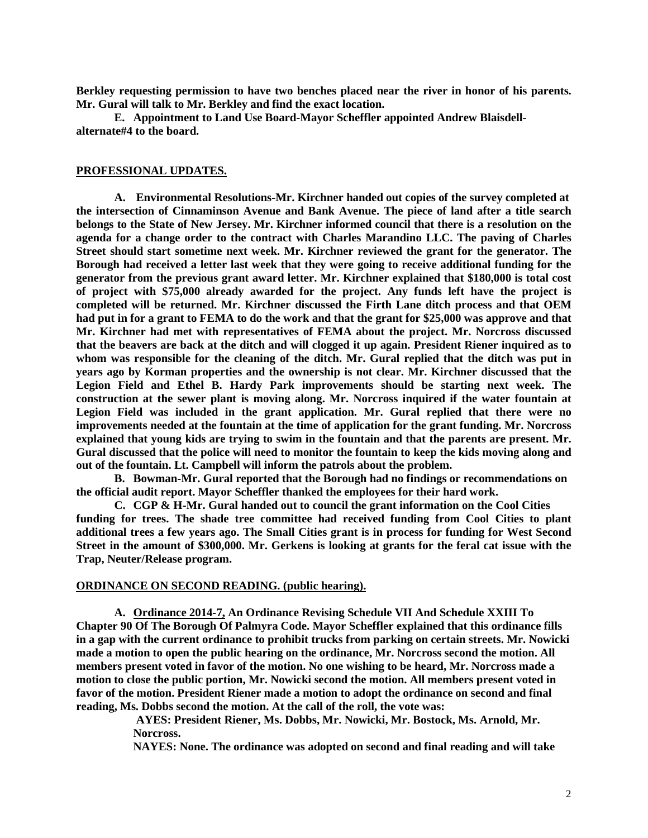**Berkley requesting permission to have two benches placed near the river in honor of his parents. Mr. Gural will talk to Mr. Berkley and find the exact location.**

**E. Appointment to Land Use Board-Mayor Scheffler appointed Andrew Blaisdellalternate#4 to the board.** 

#### **PROFESSIONAL UPDATES.**

**A. Environmental Resolutions-Mr. Kirchner handed out copies of the survey completed at the intersection of Cinnaminson Avenue and Bank Avenue. The piece of land after a title search belongs to the State of New Jersey. Mr. Kirchner informed council that there is a resolution on the agenda for a change order to the contract with Charles Marandino LLC. The paving of Charles Street should start sometime next week. Mr. Kirchner reviewed the grant for the generator. The Borough had received a letter last week that they were going to receive additional funding for the generator from the previous grant award letter. Mr. Kirchner explained that \$180,000 is total cost of project with \$75,000 already awarded for the project. Any funds left have the project is completed will be returned. Mr. Kirchner discussed the Firth Lane ditch process and that OEM had put in for a grant to FEMA to do the work and that the grant for \$25,000 was approve and that Mr. Kirchner had met with representatives of FEMA about the project. Mr. Norcross discussed that the beavers are back at the ditch and will clogged it up again. President Riener inquired as to whom was responsible for the cleaning of the ditch. Mr. Gural replied that the ditch was put in years ago by Korman properties and the ownership is not clear. Mr. Kirchner discussed that the Legion Field and Ethel B. Hardy Park improvements should be starting next week. The construction at the sewer plant is moving along. Mr. Norcross inquired if the water fountain at Legion Field was included in the grant application. Mr. Gural replied that there were no improvements needed at the fountain at the time of application for the grant funding. Mr. Norcross explained that young kids are trying to swim in the fountain and that the parents are present. Mr. Gural discussed that the police will need to monitor the fountain to keep the kids moving along and out of the fountain. Lt. Campbell will inform the patrols about the problem.** 

**B. Bowman-Mr. Gural reported that the Borough had no findings or recommendations on the official audit report. Mayor Scheffler thanked the employees for their hard work.** 

**C. CGP & H-Mr. Gural handed out to council the grant information on the Cool Cities funding for trees. The shade tree committee had received funding from Cool Cities to plant additional trees a few years ago. The Small Cities grant is in process for funding for West Second Street in the amount of \$300,000. Mr. Gerkens is looking at grants for the feral cat issue with the Trap, Neuter/Release program.** 

#### **ORDINANCE ON SECOND READING. (public hearing).**

**A. Ordinance 2014-7, An Ordinance Revising Schedule VII And Schedule XXIII To Chapter 90 Of The Borough Of Palmyra Code. Mayor Scheffler explained that this ordinance fills in a gap with the current ordinance to prohibit trucks from parking on certain streets. Mr. Nowicki made a motion to open the public hearing on the ordinance, Mr. Norcross second the motion. All members present voted in favor of the motion. No one wishing to be heard, Mr. Norcross made a motion to close the public portion, Mr. Nowicki second the motion. All members present voted in favor of the motion. President Riener made a motion to adopt the ordinance on second and final reading, Ms. Dobbs second the motion. At the call of the roll, the vote was:**

> **AYES: President Riener, Ms. Dobbs, Mr. Nowicki, Mr. Bostock, Ms. Arnold, Mr. Norcross.**

**NAYES: None. The ordinance was adopted on second and final reading and will take**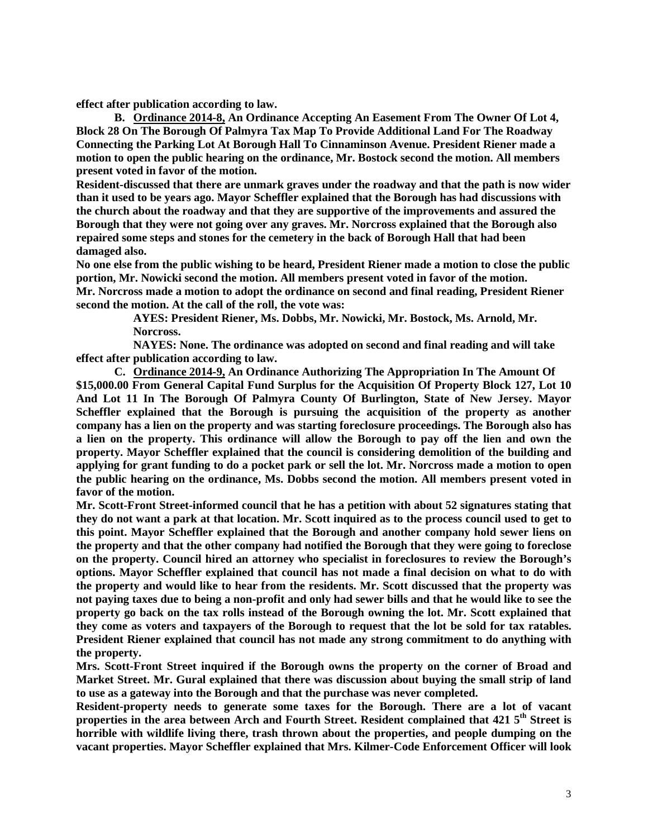**effect after publication according to law.** 

**B. Ordinance 2014-8, An Ordinance Accepting An Easement From The Owner Of Lot 4, Block 28 On The Borough Of Palmyra Tax Map To Provide Additional Land For The Roadway Connecting the Parking Lot At Borough Hall To Cinnaminson Avenue. President Riener made a motion to open the public hearing on the ordinance, Mr. Bostock second the motion. All members present voted in favor of the motion.** 

**Resident-discussed that there are unmark graves under the roadway and that the path is now wider than it used to be years ago. Mayor Scheffler explained that the Borough has had discussions with the church about the roadway and that they are supportive of the improvements and assured the Borough that they were not going over any graves. Mr. Norcross explained that the Borough also repaired some steps and stones for the cemetery in the back of Borough Hall that had been damaged also.** 

**No one else from the public wishing to be heard, President Riener made a motion to close the public portion, Mr. Nowicki second the motion. All members present voted in favor of the motion. Mr. Norcross made a motion to adopt the ordinance on second and final reading, President Riener second the motion. At the call of the roll, the vote was:**

> **AYES: President Riener, Ms. Dobbs, Mr. Nowicki, Mr. Bostock, Ms. Arnold, Mr. Norcross.**

**NAYES: None. The ordinance was adopted on second and final reading and will take effect after publication according to law.** 

**C. Ordinance 2014-9, An Ordinance Authorizing The Appropriation In The Amount Of \$15,000.00 From General Capital Fund Surplus for the Acquisition Of Property Block 127, Lot 10 And Lot 11 In The Borough Of Palmyra County Of Burlington, State of New Jersey. Mayor Scheffler explained that the Borough is pursuing the acquisition of the property as another company has a lien on the property and was starting foreclosure proceedings. The Borough also has a lien on the property. This ordinance will allow the Borough to pay off the lien and own the property. Mayor Scheffler explained that the council is considering demolition of the building and applying for grant funding to do a pocket park or sell the lot. Mr. Norcross made a motion to open the public hearing on the ordinance, Ms. Dobbs second the motion. All members present voted in favor of the motion.** 

**Mr. Scott-Front Street-informed council that he has a petition with about 52 signatures stating that they do not want a park at that location. Mr. Scott inquired as to the process council used to get to this point. Mayor Scheffler explained that the Borough and another company hold sewer liens on the property and that the other company had notified the Borough that they were going to foreclose on the property. Council hired an attorney who specialist in foreclosures to review the Borough's options. Mayor Scheffler explained that council has not made a final decision on what to do with the property and would like to hear from the residents. Mr. Scott discussed that the property was not paying taxes due to being a non-profit and only had sewer bills and that he would like to see the property go back on the tax rolls instead of the Borough owning the lot. Mr. Scott explained that they come as voters and taxpayers of the Borough to request that the lot be sold for tax ratables. President Riener explained that council has not made any strong commitment to do anything with the property.** 

**Mrs. Scott-Front Street inquired if the Borough owns the property on the corner of Broad and Market Street. Mr. Gural explained that there was discussion about buying the small strip of land to use as a gateway into the Borough and that the purchase was never completed.** 

**Resident-property needs to generate some taxes for the Borough. There are a lot of vacant properties in the area between Arch and Fourth Street. Resident complained that 421 5th Street is horrible with wildlife living there, trash thrown about the properties, and people dumping on the vacant properties. Mayor Scheffler explained that Mrs. Kilmer-Code Enforcement Officer will look**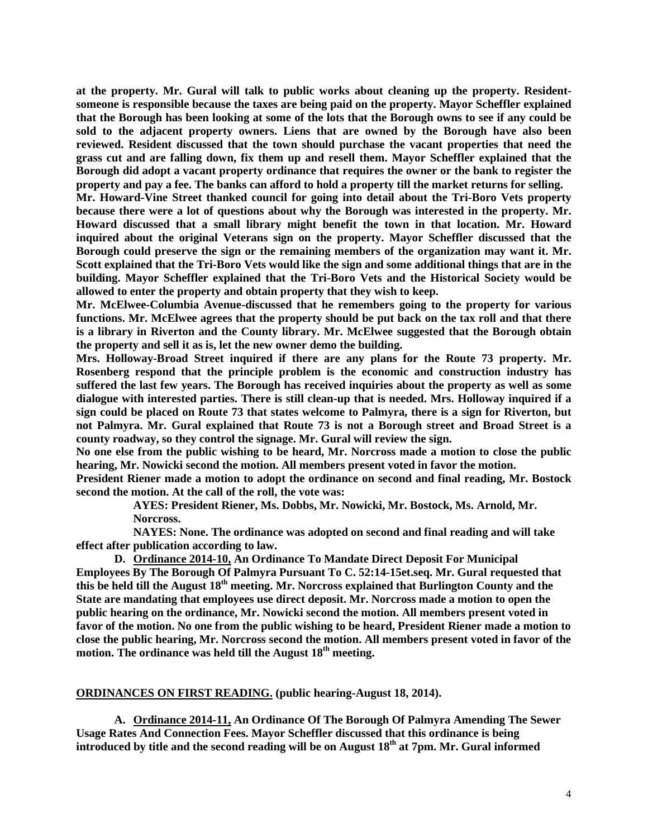**at the property. Mr. Gural will talk to public works about cleaning up the property. Residentsomeone is responsible because the taxes are being paid on the property. Mayor Scheffler explained that the Borough has been looking at some of the lots that the Borough owns to see if any could be sold to the adjacent property owners. Liens that are owned by the Borough have also been reviewed. Resident discussed that the town should purchase the vacant properties that need the grass cut and are falling down, fix them up and resell them. Mayor Scheffler explained that the Borough did adopt a vacant property ordinance that requires the owner or the bank to register the property and pay a fee. The banks can afford to hold a property till the market returns for selling.** 

**Mr. Howard-Vine Street thanked council for going into detail about the Tri-Boro Vets property because there were a lot of questions about why the Borough was interested in the property. Mr. Howard discussed that a small library might benefit the town in that location. Mr. Howard inquired about the original Veterans sign on the property. Mayor Scheffler discussed that the Borough could preserve the sign or the remaining members of the organization may want it. Mr. Scott explained that the Tri-Boro Vets would like the sign and some additional things that are in the building. Mayor Scheffler explained that the Tri-Boro Vets and the Historical Society would be allowed to enter the property and obtain property that they wish to keep.** 

**Mr. McElwee-Columbia Avenue-discussed that he remembers going to the property for various functions. Mr. McElwee agrees that the property should be put back on the tax roll and that there is a library in Riverton and the County library. Mr. McElwee suggested that the Borough obtain the property and sell it as is, let the new owner demo the building.** 

**Mrs. Holloway-Broad Street inquired if there are any plans for the Route 73 property. Mr. Rosenberg respond that the principle problem is the economic and construction industry has suffered the last few years. The Borough has received inquiries about the property as well as some dialogue with interested parties. There is still clean-up that is needed. Mrs. Holloway inquired if a sign could be placed on Route 73 that states welcome to Palmyra, there is a sign for Riverton, but not Palmyra. Mr. Gural explained that Route 73 is not a Borough street and Broad Street is a county roadway, so they control the signage. Mr. Gural will review the sign.** 

**No one else from the public wishing to be heard, Mr. Norcross made a motion to close the public hearing, Mr. Nowicki second the motion. All members present voted in favor the motion.**

**President Riener made a motion to adopt the ordinance on second and final reading, Mr. Bostock second the motion. At the call of the roll, the vote was:**

> **AYES: President Riener, Ms. Dobbs, Mr. Nowicki, Mr. Bostock, Ms. Arnold, Mr. Norcross.**

**NAYES: None. The ordinance was adopted on second and final reading and will take effect after publication according to law.** 

**D. Ordinance 2014-10, An Ordinance To Mandate Direct Deposit For Municipal Employees By The Borough Of Palmyra Pursuant To C. 52:14-15et.seq. Mr. Gural requested that this be held till the August 18th meeting. Mr. Norcross explained that Burlington County and the State are mandating that employees use direct deposit. Mr. Norcross made a motion to open the public hearing on the ordinance, Mr. Nowicki second the motion. All members present voted in favor of the motion. No one from the public wishing to be heard, President Riener made a motion to close the public hearing, Mr. Norcross second the motion. All members present voted in favor of the motion. The ordinance was held till the August 18th meeting.** 

**ORDINANCES ON FIRST READING. (public hearing-August 18, 2014).**

**A. Ordinance 2014-11, An Ordinance Of The Borough Of Palmyra Amending The Sewer Usage Rates And Connection Fees. Mayor Scheffler discussed that this ordinance is being introduced by title and the second reading will be on August 18th at 7pm. Mr. Gural informed**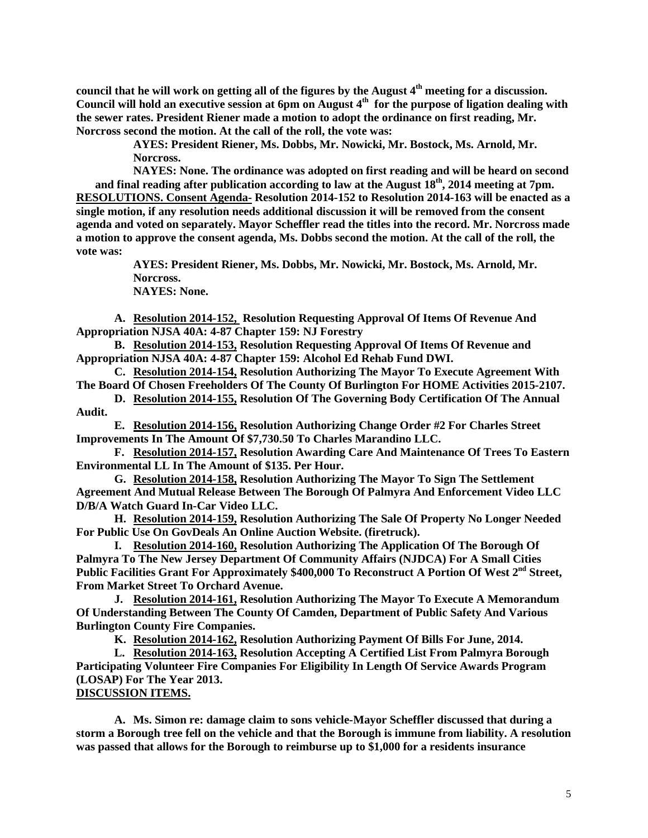**council that he will work on getting all of the figures by the August 4th meeting for a discussion. Council will hold an executive session at 6pm on August 4th for the purpose of ligation dealing with the sewer rates. President Riener made a motion to adopt the ordinance on first reading, Mr. Norcross second the motion. At the call of the roll, the vote was:**

> **AYES: President Riener, Ms. Dobbs, Mr. Nowicki, Mr. Bostock, Ms. Arnold, Mr. Norcross.**

**NAYES: None. The ordinance was adopted on first reading and will be heard on second and final reading after publication according to law at the August 18th, 2014 meeting at 7pm. RESOLUTIONS. Consent Agenda- Resolution 2014-152 to Resolution 2014-163 will be enacted as a single motion, if any resolution needs additional discussion it will be removed from the consent agenda and voted on separately. Mayor Scheffler read the titles into the record. Mr. Norcross made a motion to approve the consent agenda, Ms. Dobbs second the motion. At the call of the roll, the vote was:**

**AYES: President Riener, Ms. Dobbs, Mr. Nowicki, Mr. Bostock, Ms. Arnold, Mr. Norcross. NAYES: None.**

**A. Resolution 2014-152, Resolution Requesting Approval Of Items Of Revenue And Appropriation NJSA 40A: 4-87 Chapter 159: NJ Forestry** 

**B. Resolution 2014-153, Resolution Requesting Approval Of Items Of Revenue and Appropriation NJSA 40A: 4-87 Chapter 159: Alcohol Ed Rehab Fund DWI.**

**C. Resolution 2014-154, Resolution Authorizing The Mayor To Execute Agreement With The Board Of Chosen Freeholders Of The County Of Burlington For HOME Activities 2015-2107.**

**D. Resolution 2014-155, Resolution Of The Governing Body Certification Of The Annual Audit.**

**E. Resolution 2014-156, Resolution Authorizing Change Order #2 For Charles Street Improvements In The Amount Of \$7,730.50 To Charles Marandino LLC.**

**F. Resolution 2014-157, Resolution Awarding Care And Maintenance Of Trees To Eastern Environmental LL In The Amount of \$135. Per Hour.**

**G. Resolution 2014-158, Resolution Authorizing The Mayor To Sign The Settlement Agreement And Mutual Release Between The Borough Of Palmyra And Enforcement Video LLC D/B/A Watch Guard In-Car Video LLC.**

**H. Resolution 2014-159, Resolution Authorizing The Sale Of Property No Longer Needed For Public Use On GovDeals An Online Auction Website. (firetruck).**

**I. Resolution 2014-160, Resolution Authorizing The Application Of The Borough Of Palmyra To The New Jersey Department Of Community Affairs (NJDCA) For A Small Cities**  Public Facilities Grant For Approximately \$400,000 To Reconstruct A Portion Of West 2<sup>nd</sup> Street, **From Market Street To Orchard Avenue.** 

**J. Resolution 2014-161, Resolution Authorizing The Mayor To Execute A Memorandum Of Understanding Between The County Of Camden, Department of Public Safety And Various Burlington County Fire Companies.**

**K. Resolution 2014-162, Resolution Authorizing Payment Of Bills For June, 2014.** 

**L. Resolution 2014-163, Resolution Accepting A Certified List From Palmyra Borough Participating Volunteer Fire Companies For Eligibility In Length Of Service Awards Program (LOSAP) For The Year 2013.** 

## **DISCUSSION ITEMS.**

**A. Ms. Simon re: damage claim to sons vehicle-Mayor Scheffler discussed that during a storm a Borough tree fell on the vehicle and that the Borough is immune from liability. A resolution was passed that allows for the Borough to reimburse up to \$1,000 for a residents insurance**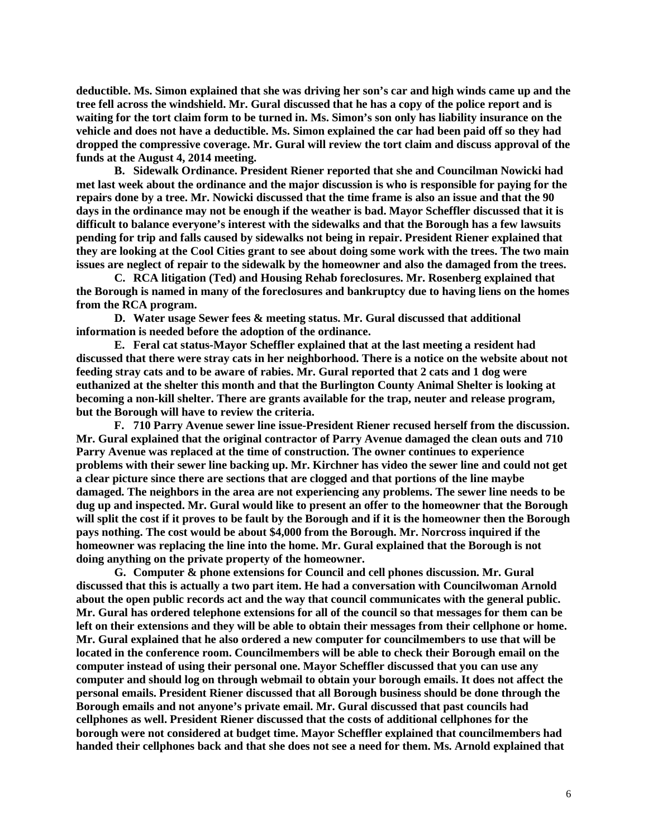**deductible. Ms. Simon explained that she was driving her son's car and high winds came up and the tree fell across the windshield. Mr. Gural discussed that he has a copy of the police report and is waiting for the tort claim form to be turned in. Ms. Simon's son only has liability insurance on the vehicle and does not have a deductible. Ms. Simon explained the car had been paid off so they had dropped the compressive coverage. Mr. Gural will review the tort claim and discuss approval of the funds at the August 4, 2014 meeting.** 

**B. Sidewalk Ordinance. President Riener reported that she and Councilman Nowicki had met last week about the ordinance and the major discussion is who is responsible for paying for the repairs done by a tree. Mr. Nowicki discussed that the time frame is also an issue and that the 90 days in the ordinance may not be enough if the weather is bad. Mayor Scheffler discussed that it is difficult to balance everyone's interest with the sidewalks and that the Borough has a few lawsuits pending for trip and falls caused by sidewalks not being in repair. President Riener explained that they are looking at the Cool Cities grant to see about doing some work with the trees. The two main issues are neglect of repair to the sidewalk by the homeowner and also the damaged from the trees.** 

**C. RCA litigation (Ted) and Housing Rehab foreclosures. Mr. Rosenberg explained that the Borough is named in many of the foreclosures and bankruptcy due to having liens on the homes from the RCA program.** 

**D. Water usage Sewer fees & meeting status. Mr. Gural discussed that additional information is needed before the adoption of the ordinance.**

**E. Feral cat status-Mayor Scheffler explained that at the last meeting a resident had discussed that there were stray cats in her neighborhood. There is a notice on the website about not feeding stray cats and to be aware of rabies. Mr. Gural reported that 2 cats and 1 dog were euthanized at the shelter this month and that the Burlington County Animal Shelter is looking at becoming a non-kill shelter. There are grants available for the trap, neuter and release program, but the Borough will have to review the criteria.** 

**F. 710 Parry Avenue sewer line issue-President Riener recused herself from the discussion. Mr. Gural explained that the original contractor of Parry Avenue damaged the clean outs and 710 Parry Avenue was replaced at the time of construction. The owner continues to experience problems with their sewer line backing up. Mr. Kirchner has video the sewer line and could not get a clear picture since there are sections that are clogged and that portions of the line maybe damaged. The neighbors in the area are not experiencing any problems. The sewer line needs to be dug up and inspected. Mr. Gural would like to present an offer to the homeowner that the Borough will split the cost if it proves to be fault by the Borough and if it is the homeowner then the Borough pays nothing. The cost would be about \$4,000 from the Borough. Mr. Norcross inquired if the homeowner was replacing the line into the home. Mr. Gural explained that the Borough is not doing anything on the private property of the homeowner.**

**G. Computer & phone extensions for Council and cell phones discussion. Mr. Gural discussed that this is actually a two part item. He had a conversation with Councilwoman Arnold about the open public records act and the way that council communicates with the general public. Mr. Gural has ordered telephone extensions for all of the council so that messages for them can be left on their extensions and they will be able to obtain their messages from their cellphone or home. Mr. Gural explained that he also ordered a new computer for councilmembers to use that will be located in the conference room. Councilmembers will be able to check their Borough email on the computer instead of using their personal one. Mayor Scheffler discussed that you can use any computer and should log on through webmail to obtain your borough emails. It does not affect the personal emails. President Riener discussed that all Borough business should be done through the Borough emails and not anyone's private email. Mr. Gural discussed that past councils had cellphones as well. President Riener discussed that the costs of additional cellphones for the borough were not considered at budget time. Mayor Scheffler explained that councilmembers had handed their cellphones back and that she does not see a need for them. Ms. Arnold explained that**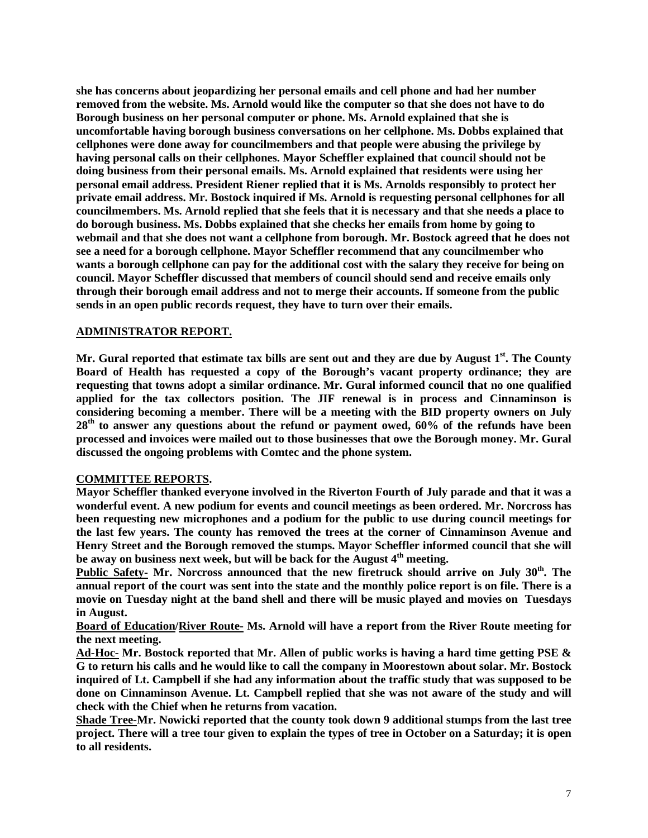**she has concerns about jeopardizing her personal emails and cell phone and had her number removed from the website. Ms. Arnold would like the computer so that she does not have to do Borough business on her personal computer or phone. Ms. Arnold explained that she is uncomfortable having borough business conversations on her cellphone. Ms. Dobbs explained that cellphones were done away for councilmembers and that people were abusing the privilege by having personal calls on their cellphones. Mayor Scheffler explained that council should not be doing business from their personal emails. Ms. Arnold explained that residents were using her personal email address. President Riener replied that it is Ms. Arnolds responsibly to protect her private email address. Mr. Bostock inquired if Ms. Arnold is requesting personal cellphones for all councilmembers. Ms. Arnold replied that she feels that it is necessary and that she needs a place to do borough business. Ms. Dobbs explained that she checks her emails from home by going to webmail and that she does not want a cellphone from borough. Mr. Bostock agreed that he does not see a need for a borough cellphone. Mayor Scheffler recommend that any councilmember who wants a borough cellphone can pay for the additional cost with the salary they receive for being on council. Mayor Scheffler discussed that members of council should send and receive emails only through their borough email address and not to merge their accounts. If someone from the public sends in an open public records request, they have to turn over their emails.** 

## **ADMINISTRATOR REPORT.**

**Mr. Gural reported that estimate tax bills are sent out and they are due by August 1st. The County Board of Health has requested a copy of the Borough's vacant property ordinance; they are requesting that towns adopt a similar ordinance. Mr. Gural informed council that no one qualified applied for the tax collectors position. The JIF renewal is in process and Cinnaminson is considering becoming a member. There will be a meeting with the BID property owners on July 28th to answer any questions about the refund or payment owed, 60% of the refunds have been processed and invoices were mailed out to those businesses that owe the Borough money. Mr. Gural discussed the ongoing problems with Comtec and the phone system.** 

## **COMMITTEE REPORTS.**

**Mayor Scheffler thanked everyone involved in the Riverton Fourth of July parade and that it was a wonderful event. A new podium for events and council meetings as been ordered. Mr. Norcross has been requesting new microphones and a podium for the public to use during council meetings for the last few years. The county has removed the trees at the corner of Cinnaminson Avenue and Henry Street and the Borough removed the stumps. Mayor Scheffler informed council that she will be away on business next week, but will be back for the August 4th meeting.** 

Public Safety- Mr. Norcross announced that the new firetruck should arrive on July 30<sup>th</sup>. The **annual report of the court was sent into the state and the monthly police report is on file. There is a movie on Tuesday night at the band shell and there will be music played and movies on Tuesdays in August.** 

**Board of Education/River Route- Ms. Arnold will have a report from the River Route meeting for the next meeting.** 

**Ad-Hoc- Mr. Bostock reported that Mr. Allen of public works is having a hard time getting PSE & G to return his calls and he would like to call the company in Moorestown about solar. Mr. Bostock inquired of Lt. Campbell if she had any information about the traffic study that was supposed to be done on Cinnaminson Avenue. Lt. Campbell replied that she was not aware of the study and will check with the Chief when he returns from vacation.** 

**Shade Tree-Mr. Nowicki reported that the county took down 9 additional stumps from the last tree project. There will a tree tour given to explain the types of tree in October on a Saturday; it is open to all residents.**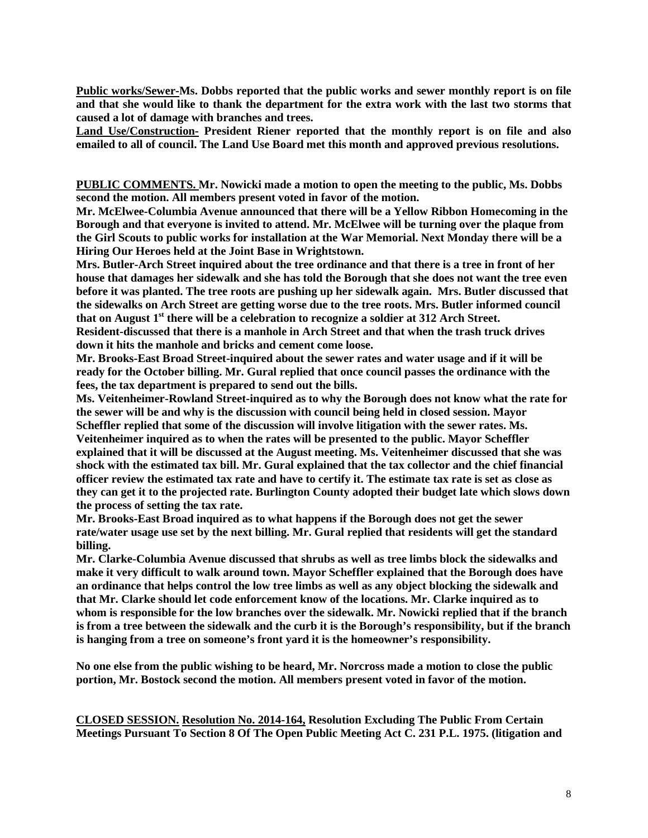**Public works/Sewer-Ms. Dobbs reported that the public works and sewer monthly report is on file and that she would like to thank the department for the extra work with the last two storms that caused a lot of damage with branches and trees.** 

**Land Use/Construction- President Riener reported that the monthly report is on file and also emailed to all of council. The Land Use Board met this month and approved previous resolutions.** 

**PUBLIC COMMENTS. Mr. Nowicki made a motion to open the meeting to the public, Ms. Dobbs second the motion. All members present voted in favor of the motion.** 

**Mr. McElwee-Columbia Avenue announced that there will be a Yellow Ribbon Homecoming in the Borough and that everyone is invited to attend. Mr. McElwee will be turning over the plaque from the Girl Scouts to public works for installation at the War Memorial. Next Monday there will be a Hiring Our Heroes held at the Joint Base in Wrightstown.** 

**Mrs. Butler-Arch Street inquired about the tree ordinance and that there is a tree in front of her house that damages her sidewalk and she has told the Borough that she does not want the tree even before it was planted. The tree roots are pushing up her sidewalk again. Mrs. Butler discussed that the sidewalks on Arch Street are getting worse due to the tree roots. Mrs. Butler informed council that on August 1st there will be a celebration to recognize a soldier at 312 Arch Street.** 

**Resident-discussed that there is a manhole in Arch Street and that when the trash truck drives down it hits the manhole and bricks and cement come loose.** 

**Mr. Brooks-East Broad Street-inquired about the sewer rates and water usage and if it will be ready for the October billing. Mr. Gural replied that once council passes the ordinance with the fees, the tax department is prepared to send out the bills.** 

**Ms. Veitenheimer-Rowland Street-inquired as to why the Borough does not know what the rate for the sewer will be and why is the discussion with council being held in closed session. Mayor Scheffler replied that some of the discussion will involve litigation with the sewer rates. Ms. Veitenheimer inquired as to when the rates will be presented to the public. Mayor Scheffler explained that it will be discussed at the August meeting. Ms. Veitenheimer discussed that she was shock with the estimated tax bill. Mr. Gural explained that the tax collector and the chief financial officer review the estimated tax rate and have to certify it. The estimate tax rate is set as close as they can get it to the projected rate. Burlington County adopted their budget late which slows down the process of setting the tax rate.** 

**Mr. Brooks-East Broad inquired as to what happens if the Borough does not get the sewer rate/water usage use set by the next billing. Mr. Gural replied that residents will get the standard billing.** 

**Mr. Clarke-Columbia Avenue discussed that shrubs as well as tree limbs block the sidewalks and make it very difficult to walk around town. Mayor Scheffler explained that the Borough does have an ordinance that helps control the low tree limbs as well as any object blocking the sidewalk and that Mr. Clarke should let code enforcement know of the locations. Mr. Clarke inquired as to whom is responsible for the low branches over the sidewalk. Mr. Nowicki replied that if the branch is from a tree between the sidewalk and the curb it is the Borough's responsibility, but if the branch is hanging from a tree on someone's front yard it is the homeowner's responsibility.** 

**No one else from the public wishing to be heard, Mr. Norcross made a motion to close the public portion, Mr. Bostock second the motion. All members present voted in favor of the motion.** 

**CLOSED SESSION. Resolution No. 2014-164, Resolution Excluding The Public From Certain Meetings Pursuant To Section 8 Of The Open Public Meeting Act C. 231 P.L. 1975. (litigation and**